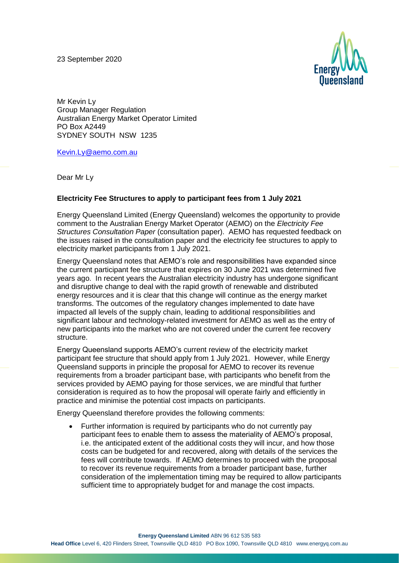23 September 2020



Mr Kevin Ly Group Manager Regulation Australian Energy Market Operator Limited PO Box A2449 SYDNEY SOUTH NSW 1235

[Kevin.Ly@aemo.com.au](mailto:Kevin.Ly@aemo.com.au)

Dear Mr Ly

## **Electricity Fee Structures to apply to participant fees from 1 July 2021**

Energy Queensland Limited (Energy Queensland) welcomes the opportunity to provide comment to the Australian Energy Market Operator (AEMO) on the *Electricity Fee Structures Consultation Paper* (consultation paper). AEMO has requested feedback on the issues raised in the consultation paper and the electricity fee structures to apply to electricity market participants from 1 July 2021.

Energy Queensland notes that AEMO's role and responsibilities have expanded since the current participant fee structure that expires on 30 June 2021 was determined five years ago. In recent years the Australian electricity industry has undergone significant and disruptive change to deal with the rapid growth of renewable and distributed energy resources and it is clear that this change will continue as the energy market transforms. The outcomes of the regulatory changes implemented to date have impacted all levels of the supply chain, leading to additional responsibilities and significant labour and technology-related investment for AEMO as well as the entry of new participants into the market who are not covered under the current fee recovery structure.

Energy Queensland supports AEMO's current review of the electricity market participant fee structure that should apply from 1 July 2021. However, while Energy Queensland supports in principle the proposal for AEMO to recover its revenue requirements from a broader participant base, with participants who benefit from the services provided by AEMO paying for those services, we are mindful that further consideration is required as to how the proposal will operate fairly and efficiently in practice and minimise the potential cost impacts on participants.

Energy Queensland therefore provides the following comments:

• Further information is required by participants who do not currently pay participant fees to enable them to assess the materiality of AEMO's proposal, i.e. the anticipated extent of the additional costs they will incur, and how those costs can be budgeted for and recovered, along with details of the services the fees will contribute towards. If AEMO determines to proceed with the proposal to recover its revenue requirements from a broader participant base, further consideration of the implementation timing may be required to allow participants sufficient time to appropriately budget for and manage the cost impacts.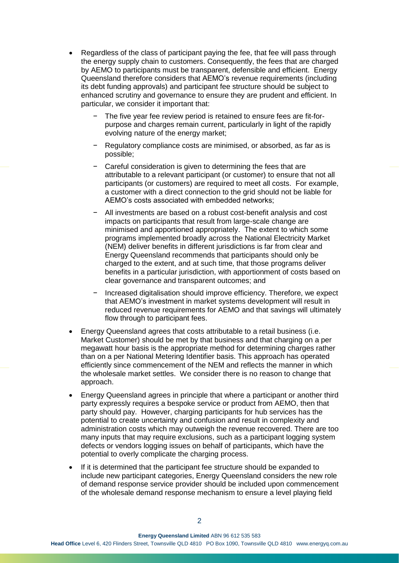- Regardless of the class of participant paying the fee, that fee will pass through the energy supply chain to customers. Consequently, the fees that are charged by AEMO to participants must be transparent, defensible and efficient. Energy Queensland therefore considers that AEMO's revenue requirements (including its debt funding approvals) and participant fee structure should be subject to enhanced scrutiny and governance to ensure they are prudent and efficient. In particular, we consider it important that:
	- The five year fee review period is retained to ensure fees are fit-forpurpose and charges remain current, particularly in light of the rapidly evolving nature of the energy market;
	- − Regulatory compliance costs are minimised, or absorbed, as far as is possible;
	- − Careful consideration is given to determining the fees that are attributable to a relevant participant (or customer) to ensure that not all participants (or customers) are required to meet all costs. For example, a customer with a direct connection to the grid should not be liable for AEMO's costs associated with embedded networks;
	- − All investments are based on a robust cost-benefit analysis and cost impacts on participants that result from large-scale change are minimised and apportioned appropriately. The extent to which some programs implemented broadly across the National Electricity Market (NEM) deliver benefits in different jurisdictions is far from clear and Energy Queensland recommends that participants should only be charged to the extent, and at such time, that those programs deliver benefits in a particular jurisdiction, with apportionment of costs based on clear governance and transparent outcomes; and
	- Increased digitalisation should improve efficiency. Therefore, we expect that AEMO's investment in market systems development will result in reduced revenue requirements for AEMO and that savings will ultimately flow through to participant fees.
- Energy Queensland agrees that costs attributable to a retail business (i.e. Market Customer) should be met by that business and that charging on a per megawatt hour basis is the appropriate method for determining charges rather than on a per National Metering Identifier basis. This approach has operated efficiently since commencement of the NEM and reflects the manner in which the wholesale market settles. We consider there is no reason to change that approach.
- Energy Queensland agrees in principle that where a participant or another third party expressly requires a bespoke service or product from AEMO, then that party should pay. However, charging participants for hub services has the potential to create uncertainty and confusion and result in complexity and administration costs which may outweigh the revenue recovered. There are too many inputs that may require exclusions, such as a participant logging system defects or vendors logging issues on behalf of participants, which have the potential to overly complicate the charging process.
- If it is determined that the participant fee structure should be expanded to include new participant categories, Energy Queensland considers the new role of demand response service provider should be included upon commencement of the wholesale demand response mechanism to ensure a level playing field